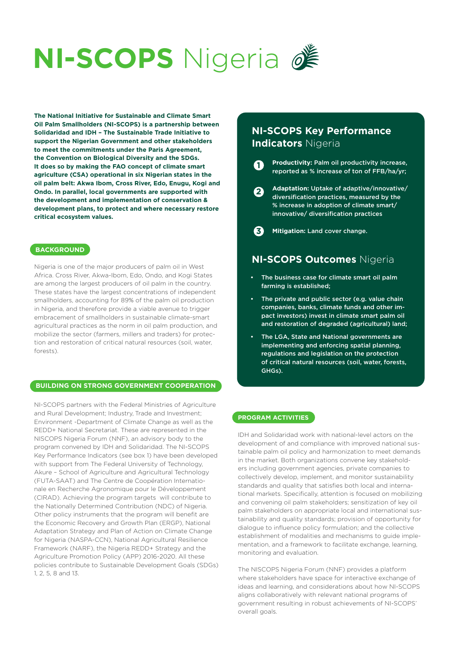# **NI-SCOPS** Nigeria 2

**The National Initiative for Sustainable and Climate Smart Oil Palm Smallholders (NI-SCOPS) is a partnership between Solidaridad and IDH – The Sustainable Trade Initiative to support the Nigerian Government and other stakeholders to meet the commitments under the Paris Agreement, the Convention on Biological Diversity and the SDGs. It does so by making the FAO concept of climate smart agriculture (CSA) operational in six Nigerian states in the oil palm belt: Akwa Ibom, Cross River, Edo, Enugu, Kogi and Ondo. In parallel, local governments are supported with the development and implementation of conservation & development plans, to protect and where necessary restore critical ecosystem values.**

#### **BACKGROUND**

Nigeria is one of the major producers of palm oil in West Africa. Cross River, Akwa-Ibom, Edo, Ondo, and Kogi States are among the largest producers of oil palm in the country. These states have the largest concentrations of independent smallholders, accounting for 89% of the palm oil production in Nigeria, and therefore provide a viable avenue to trigger embracement of smallholders in sustainable climate-smart agricultural practices as the norm in oil palm production, and mobilize the sector (farmers, millers and traders) for protection and restoration of critical natural resources (soil, water, forests).

#### **BUILDING ON STRONG GOVERNMENT COOPERATION**

NI-SCOPS partners with the Federal Ministries of Agriculture and Rural Development; Industry, Trade and Investment; Environment -Department of Climate Change as well as the REDD+ National Secretariat. These are represented in the NISCOPS Nigeria Forum (NNF), an advisory body to the program convened by IDH and Solidaridad. The NI-SCOPS Key Performance Indicators (see box 1) have been developed with support from The Federal University of Technology, Akure – School of Agriculture and Agricultural Technology (FUTA-SAAT) and The Centre de Coopération Internationale en Recherche Agronomique pour le Développement (CIRAD). Achieving the program targets will contribute to the Nationally Determined Contribution (NDC) of Nigeria. Other policy instruments that the program will benefit are the Economic Recovery and Growth Plan (ERGP), National Adaptation Strategy and Plan of Action on Climate Change for Nigeria (NASPA-CCN), National Agricultural Resilience Framework (NARF), the Nigeria REDD+ Strategy and the Agriculture Promotion Policy (APP) 2016-2020. All these policies contribute to Sustainable Development Goals (SDGs) 1, 2, 5, 8 and 13.

## **NI-SCOPS Key Performance Indicators** Nigeria

**Productivity:** Palm oil productivity increase, reported as % increase of ton of FFB/ha/yr; **1**

**Adaptation:** Uptake of adaptive/innovative/ diversification practices, measured by the % increase in adoption of climate smart/ innovative/ diversification practices **2**

**Mitigation:** Land cover change. **3**

## **NI-SCOPS Outcomes** Nigeria

- The business case for climate smart oil palm farming is established;
- The private and public sector (e.g. value chain companies, banks, climate funds and other impact investors) invest in climate smart palm oil and restoration of degraded (agricultural) land;
- The LGA, State and National governments are implementing and enforcing spatial planning, regulations and legislation on the protection of critical natural resources (soil, water, forests, GHGs).

#### **PROGRAM ACTIVITIES**

IDH and Solidaridad work with national-level actors on the development of and compliance with improved national sustainable palm oil policy and harmonization to meet demands in the market. Both organizations convene key stakeholders including government agencies, private companies to collectively develop, implement, and monitor sustainability standards and quality that satisfies both local and international markets. Specifically, attention is focused on mobilizing and convening oil palm stakeholders; sensitization of key oil palm stakeholders on appropriate local and international sustainability and quality standards; provision of opportunity for dialogue to influence policy formulation; and the collective establishment of modalities and mechanisms to guide implementation, and a framework to facilitate exchange, learning, monitoring and evaluation.

The NISCOPS Nigeria Forum (NNF) provides a platform where stakeholders have space for interactive exchange of ideas and learning, and considerations about how NI-SCOPS aligns collaboratively with relevant national programs of government resulting in robust achievements of NI-SCOPS' overall goals.